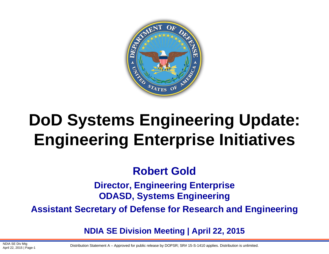

# **DoD Systems Engineering Update: Engineering Enterprise Initiatives**

### **Robert Gold**

**Director, Engineering Enterprise ODASD, Systems Engineering**

**Assistant Secretary of Defense for Research and Engineering**

**NDIA SE Division Meeting | April 22, 2015**

NDIA SE DIV MIG<br>April 22, 2015 | Page-1 **Distribution Statement A** – Approved for public release by DOPSR; SR# 15-S-1410 applies. Distribution is unlimited.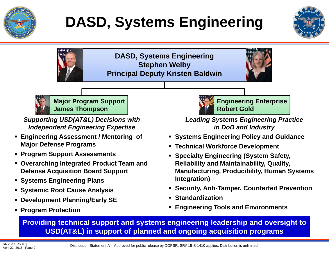

# **DASD, Systems Engineering**



**DASD, Systems Engineering Stephen Welby Principal Deputy Kristen Baldwin**





**Major Program Support James Thompson**

*Supporting USD(AT&L) Decisions with Independent Engineering Expertise*

- **Engineering Assessment / Mentoring of Major Defense Programs**
- **Program Support Assessments**
- **Overarching Integrated Product Team and Defense Acquisition Board Support**
- **Systems Engineering Plans**
- **Systemic Root Cause Analysis**
- **Development Planning/Early SE**
- **Program Protection**



**Engineering Enterprise Robert Gold**

*Leading Systems Engineering Practice in DoD and Industry*

- **Systems Engineering Policy and Guidance**
- **Technical Workforce Development**
- Г **Specialty Engineering (System Safety, Reliability and Maintainability, Quality, Manufacturing, Producibility, Human Systems Integration)**
- **Security, Anti-Tamper, Counterfeit Prevention**
- Г **Standardization**
- **Engineering Tools and Environments**

**Providing technical support and systems engineering leadership and oversight to USD(AT&L) in support of planned and ongoing acquisition programs**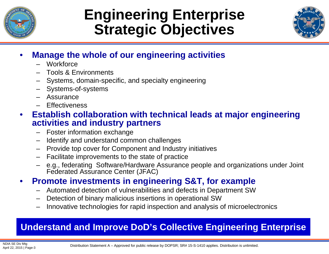

### **Engineering Enterprise Strategic Objectives**



#### •**Manage the whole of our engineering activities**

- Workforce
- Tools & Environments
- Systems, domain-specific, and specialty engineering
- Systems-of-systems
- Assurance
- Effectiveness

#### • **Establish collaboration with technical leads at major engineering activities and industry partners**

- Foster information exchange
- –Identify and understand common challenges
- Provide top cover for Component and Industry initiatives
- Facilitate improvements to the state of practice
- e.g., federating Software/Hardware Assurance people and organizations under Joint Federated Assurance Center (JFAC)

#### •**Promote investments in engineering S&T, for example**

- Automated detection of vulnerabilities and defects in Department SW
- Detection of binary malicious insertions in operational SW
- Innovative technologies for rapid inspection and analysis of microelectronics

### **Understand and Improve DoD's Collective Engineering Enterprise**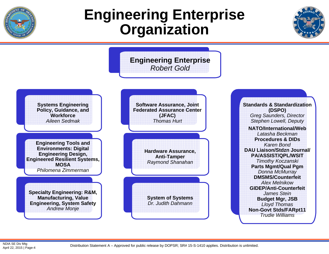

### **Engineering Enterprise Organization**



**Engineering Enterprise** *Robert Gold***Systems Engineering Policy, Guidance, and Workforce***Aileen Sedmak***Engineering Tools and Environments: Digital Engineering Design, Engineered Resilient Systems, MOSA***Philomena Zimmerman***Specialty Engineering: R&M, Manufacturing, Value Engineering, System Safety** *Andrew Monje* **Software Assurance, Joint Federated Assurance Center (JFAC)** *Thomas Hurt***Hardware Assurance, Anti-Tamper** *Raymond Shanahan* **System of Systems** *Dr. Judith Dahmann***Standards & Standardization (DSPO)** *Greg Saunders, Director Stephen Lowell, Deputy* **NATO/International/Web***Latasha Beckman***Procedures & DIDs***Karen Bond***DAU Liaison/Stdzn Journal/ PA/ASSIST/QPL/WSIT** *Timothy Koczanski* **Parts Mgmt/Qual Pgm** *Donna McMurray* **DMSMS/Counterfeit***Alex Melnikow***GIDEP/Anti-Counterfeit***James Stein***Budget Mgr, JSB** *Lloyd Thomas*  **Non-Govt Stds/FARpt11** *Trudie Williams*

NDIA SE Div Mtg<br>April 22, 2015 | Page-4

Distribution Statement A – Approved for public release by DOPSR; SR# 15-S-1410 applies. Distribution is unlimited.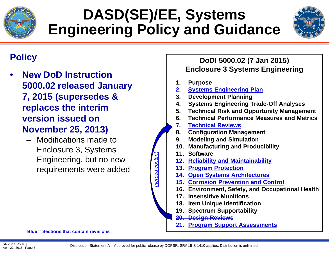

## **DASD(SE)/EE, Systems Engineering Policy and Guidance**



### **Policy**

- • **New DoD Instruction 5000.02 released January 7, 2015 (supersedes & replaces the interim version issued on November 25, 2013)**
	- Modifications made to Enclosure 3, Systems Engineering, but no new requirements were added

#### **Blue = Sections that contain revisions**

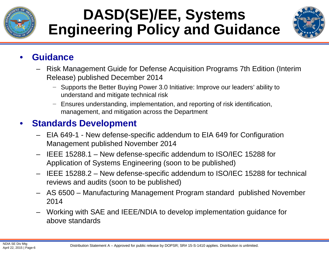

## **DASD(SE)/EE, Systems Engineering Policy and Guidance**



#### •**Guidance**

- Risk Management Guide for Defense Acquisition Programs 7th Edition (Interim Release) published December 2014
	- − Supports the Better Buying Power 3.0 Initiative: Improve our leaders' ability to understand and mitigate technical risk
	- − Ensures understanding, implementation, and reporting of risk identification, management, and mitigation across the Department

#### •**Standards Development**

- EIA 649-1 New defense-specific addendum to EIA 649 for Configuration Management published November 2014
- IEEE 15288.1 New defense-specific addendum to ISO/IEC 15288 for Application of Systems Engineering (soon to be published)
- IEEE 15288.2 New defense-specific addendum to ISO/IEC 15288 for technical reviews and audits (soon to be published)
- AS 6500 Manufacturing Management Program standard published November 2014
- Working with SAE and IEEE/NDIA to develop implementation guidance for above standards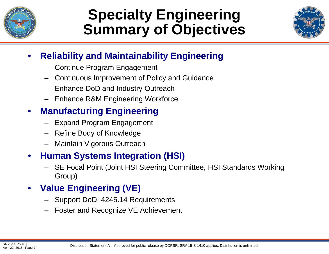

### **Specialty Engineering Summary of Objectives**



#### •**Reliability and Maintainability Engineering**

- –Continue Program Engagement
- Continuous Improvement of Policy and Guidance
- Enhance DoD and Industry Outreach
- Enhance R&M Engineering Workforce

#### $\bullet$ **Manufacturing Engineering**

- Expand Program Engagement
- Refine Body of Knowledge
- Maintain Vigorous Outreach

#### •**Human Systems Integration (HSI)**

– SE Focal Point (Joint HSI Steering Committee, HSI Standards Working Group)

#### •**Value Engineering (VE)**

- Support DoDI 4245.14 Requirements
- –Foster and Recognize VE Achievement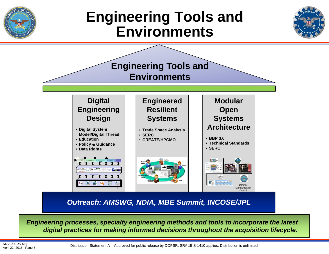

### **Engineering Tools and Environments**





*Outreach: AMSWG, NDIA, MBE Summit, INCOSE/JPL*

*Engineering processes, specialty engineering methods and tools to incorporate the latest digital practices for making informed decisions throughout the acquisition lifecycle.* 

NDIA SE Div Mtg<br>April 22, 2015 | Page-8

Distribution Statement A – Approved for public release by DOPSR; SR# 15-S-1410 applies. Distribution is unlimited.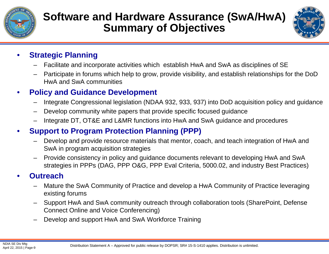

### **Software and Hardware Assurance (SwA/HwA) Summary of Objectives**



#### •**Strategic Planning**

- –Facilitate and incorporate activities which establish HwA and SwA as disciplines of SE
- Participate in forums which help to grow, provide visibility, and establish relationships for the DoD HwA and SwA communities

#### •**Policy and Guidance Development**

- Integrate Congressional legislation (NDAA 932, 933, 937) into DoD acquisition policy and guidance
- –Develop community white papers that provide specific focused guidance
- Integrate DT, OT&E and L&MR functions into HwA and SwA guidance and procedures

#### •**Support to Program Protection Planning (PPP)**

- – Develop and provide resource materials that mentor, coach, and teach integration of HwA and SwA in program acquisition strategies
- Provide consistency in policy and guidance documents relevant to developing HwA and SwA strategies in PPPs (DAG, PPP O&G, PPP Eval Criteria, 5000.02, and industry Best Practices)

#### •**Outreach**

- Mature the SwA Community of Practice and develop a HwA Community of Practice leveraging existing forums
- Support HwA and SwA community outreach through collaboration tools (SharePoint, Defense Connect Online and Voice Conferencing)
- –Develop and support HwA and SwA Workforce Training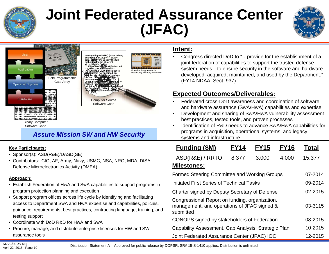

### **Joint Federated Assurance Center (JFAC)**



| $\mathcal{N}$<br>$\mathcal{N}$ $\mathcal{N}$<br>ADIERA<br>User<br>Stratix-IV<br>I"); / HMODULE hModule; /*<br>Application.<br>POTENTIAL FLAW: If the path to<br>Erasable Programmable<br>Read-Only Memory (EPROM)<br>to thorary is not specified, an<br><b>Field Programmable</b><br>his own file<br>library */ hMt<br>Gate Array<br>NULL) { Free Mine<br><b>Operating System</b><br>NULL) { Free htary waged and freed<br>printLine("Library waged and freed<br>successfully"); } else {<br>printLite bunable to load infary");<br>011111101<br>101101010<br>11010001<br>10101110<br>Hardware<br>100010001<br><b>Computer Source</b><br>011100110<br>0001100<br>Software Code<br>101011010101110011001001011011<br><b>Binary Computer</b><br>Software Code<br><b>Assure Mission SW and HW Security</b> | Intent:<br>Congress directed DoD to "provide for the establishment of a<br>$\bullet$<br>joint federation of capabilities to support the trusted defense<br>system needsto ensure security in the software and hardware<br>developed, acquired, maintained, and used by the Department."<br>(FY14 NDAA, Sect. 937)<br><b>Expected Outcomes/Deliverables:</b><br>Federated cross-DoD awareness and coordination of software<br>and hardware assurance (SwA/HwA) capabilities and expertise<br>Development and sharing of SwA/HwA vulnerability assessment<br>best practices, tested tools, and proven processes<br>Identification of R&D needs to advance SwA/HwA capabilities for<br>programs in acquisition, operational systems, and legacy<br>systems and infrastructure |  |
|---------------------------------------------------------------------------------------------------------------------------------------------------------------------------------------------------------------------------------------------------------------------------------------------------------------------------------------------------------------------------------------------------------------------------------------------------------------------------------------------------------------------------------------------------------------------------------------------------------------------------------------------------------------------------------------------------------------------------------------------------------------------------------------------------------|----------------------------------------------------------------------------------------------------------------------------------------------------------------------------------------------------------------------------------------------------------------------------------------------------------------------------------------------------------------------------------------------------------------------------------------------------------------------------------------------------------------------------------------------------------------------------------------------------------------------------------------------------------------------------------------------------------------------------------------------------------------------------|--|
| <b>Key Participants:</b><br>• Sponsor(s): ASD(R&E)/DASD(SE)<br>• Contributors: CIO, AF, Army, Navy, USMC, NSA, NRO, MDA, DISA,<br>Defense Microelectronics Activity (DMEA)                                                                                                                                                                                                                                                                                                                                                                                                                                                                                                                                                                                                                              | <b>Funding (\$M)</b><br><b>FY14</b><br><b>FY15</b><br><b>FY16</b><br><b>Total</b><br>ASD(R&E) / RRTO<br>8.377<br>3.000<br>4.000<br>15.377<br><b>Milestones:</b>                                                                                                                                                                                                                                                                                                                                                                                                                                                                                                                                                                                                            |  |
|                                                                                                                                                                                                                                                                                                                                                                                                                                                                                                                                                                                                                                                                                                                                                                                                         | <b>Formed Steering Committee and Working Groups</b><br>07-2014                                                                                                                                                                                                                                                                                                                                                                                                                                                                                                                                                                                                                                                                                                             |  |
| Approach:<br>• Establish Federation of HwA and SwA capabilities to support programs in                                                                                                                                                                                                                                                                                                                                                                                                                                                                                                                                                                                                                                                                                                                  | 09-2014<br>Initiated First Series of Technical Tasks                                                                                                                                                                                                                                                                                                                                                                                                                                                                                                                                                                                                                                                                                                                       |  |
| program protection planning and execution                                                                                                                                                                                                                                                                                                                                                                                                                                                                                                                                                                                                                                                                                                                                                               | 02-2015<br>Charter signed by Deputy Secretary of Defense                                                                                                                                                                                                                                                                                                                                                                                                                                                                                                                                                                                                                                                                                                                   |  |
| • Support program offices across life cycle by identifying and facilitating<br>access to Department SwA and HwA expertise and capabilities, policies,<br>guidance, requirements, best practices, contracting language, training, and                                                                                                                                                                                                                                                                                                                                                                                                                                                                                                                                                                    | Congressional Report on funding, organization,<br>management, and operations of JFAC signed &<br>03-3115<br>submitted                                                                                                                                                                                                                                                                                                                                                                                                                                                                                                                                                                                                                                                      |  |
| testing support<br>• Coordinate with DoD R&D for HwA and SwA                                                                                                                                                                                                                                                                                                                                                                                                                                                                                                                                                                                                                                                                                                                                            | CONOPS signed by stakeholders of Federation<br>08-2015                                                                                                                                                                                                                                                                                                                                                                                                                                                                                                                                                                                                                                                                                                                     |  |
| • Procure, manage, and distribute enterprise licenses for HW and SW                                                                                                                                                                                                                                                                                                                                                                                                                                                                                                                                                                                                                                                                                                                                     | Capability Assessment, Gap Analysis, Strategic Plan<br>10-2015                                                                                                                                                                                                                                                                                                                                                                                                                                                                                                                                                                                                                                                                                                             |  |
| assurance tools                                                                                                                                                                                                                                                                                                                                                                                                                                                                                                                                                                                                                                                                                                                                                                                         | Joint Federated Assurance Center (JFAC) IOC<br>12-2015                                                                                                                                                                                                                                                                                                                                                                                                                                                                                                                                                                                                                                                                                                                     |  |

Distribution Statement A – Approved for public release by DOPSR; SR# 15-S-1410 applies. Distribution is unlimited.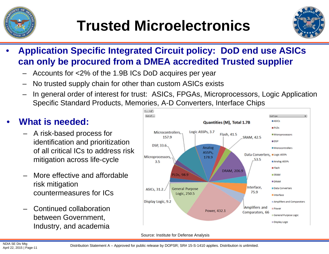



- • **Application Specific Integrated Circuit policy: DoD end use ASICs can only be procured from a DMEA accredited Trusted supplier**
	- Accounts for <2% of the 1.9B ICs DoD acquires per year
	- No trusted supply chain for other than custom ASICs exists
	- In general order of interest for trust: ASICs, FPGAs, Microprocessors, Logic Application Specific Standard Products, Memories, A-D Converters, Interface Chips

#### •**What is needed:**

- A risk-based process for identification and prioritization of all critical ICs to address risk mitigation across life-cycle
- – More effective and affordable risk mitigation countermeasures for ICs
- – Continued collaboration between Government, Industry, and academia



Source: Institute for Defense Analysis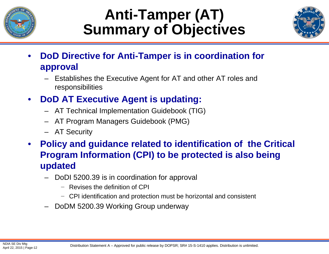

## **Anti-Tamper (AT) Summary of Objectives**



- • **DoD Directive for Anti-Tamper is in coordination for approval**
	- Establishes the Executive Agent for AT and other AT roles and responsibilities
- • **DoD AT Executive Agent is updating:**
	- AT Technical Implementation Guidebook (TIG)
	- AT Program Managers Guidebook (PMG)
	- AT Security
- $\bullet$  **Policy and guidance related to identification of the Critical Program Information (CPI) to be protected is also being updated**
	- DoDI 5200.39 is in coordination for approval
		- − Revises the definition of CPI
		- − CPI identification and protection must be horizontal and consistent
	- –DoDM 5200.39 Working Group underway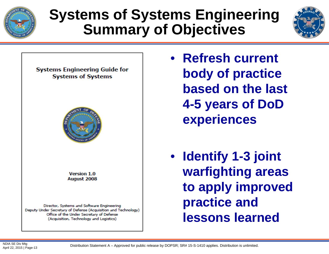

## **Systems of Systems Engineering Summary of Objectives**



**Systems Engineering Guide for Systems of Systems** 



**Version 1.0 August 2008** 

Director, Systems and Software Engineering Deputy Under Secretary of Defense (Acquisition and Technology) Office of the Under Secretary of Defense (Acquisition, Technology and Logistics)

- **Refresh current body of practice based on the last 4-5 years of DoD experiences**
- **Identify 1-3 joint warfighting areas to apply improved practice and lessons learned**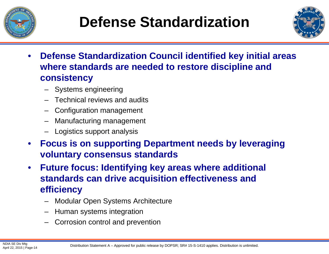

## **Defense Standardization**



- • **Defense Standardization Council identified key initial areas where standards are needed to restore discipline and consistency**
	- –Systems engineering
	- –Technical reviews and audits
	- –Configuration management
	- –Manufacturing management
	- –Logistics support analysis
- $\bullet$  **Focus is on supporting Department needs by leveraging voluntary consensus standards**
- $\bullet$  **Future focus: Identifying key areas where additional standards can drive acquisition effectiveness and efficiency**
	- –Modular Open Systems Architecture
	- –Human systems integration
	- –Corrosion control and prevention